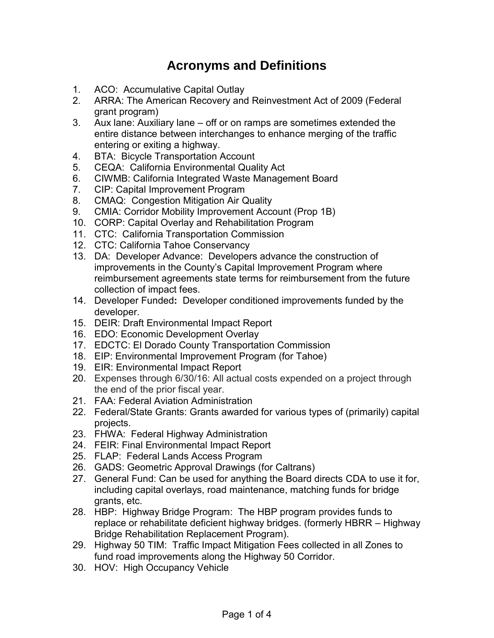## **Acronyms and Definitions**

- 1. ACO: Accumulative Capital Outlay
- 2. ARRA: The American Recovery and Reinvestment Act of 2009 (Federal grant program)
- 3. Aux lane: Auxiliary lane off or on ramps are sometimes extended the entire distance between interchanges to enhance merging of the traffic entering or exiting a highway.
- 4. BTA: Bicycle Transportation Account
- 5. CEQA: California Environmental Quality Act
- 6. CIWMB: California Integrated Waste Management Board
- 7. CIP: Capital Improvement Program
- 8. CMAQ: Congestion Mitigation Air Quality
- 9. CMIA: Corridor Mobility Improvement Account (Prop 1B)
- 10. CORP: Capital Overlay and Rehabilitation Program
- 11. CTC: California Transportation Commission
- 12. CTC: California Tahoe Conservancy
- 13. DA: Developer Advance: Developers advance the construction of improvements in the County's Capital Improvement Program where reimbursement agreements state terms for reimbursement from the future collection of impact fees.
- 14. Developer Funded**:** Developer conditioned improvements funded by the developer.
- 15. DEIR: Draft Environmental Impact Report
- 16. EDO: Economic Development Overlay
- 17. EDCTC: El Dorado County Transportation Commission
- 18. EIP: Environmental Improvement Program (for Tahoe)
- 19. EIR: Environmental Impact Report
- 20. Expenses through 6/30/16: All actual costs expended on a project through the end of the prior fiscal year.
- 21. FAA: Federal Aviation Administration
- 22. Federal/State Grants: Grants awarded for various types of (primarily) capital projects.
- 23. FHWA: Federal Highway Administration
- 24. FEIR: Final Environmental Impact Report
- 25. FLAP: Federal Lands Access Program
- 26. GADS: Geometric Approval Drawings (for Caltrans)
- 27. General Fund: Can be used for anything the Board directs CDA to use it for, including capital overlays, road maintenance, matching funds for bridge grants, etc.
- 28. HBP: Highway Bridge Program: The HBP program provides funds to replace or rehabilitate deficient highway bridges. (formerly HBRR – Highway Bridge Rehabilitation Replacement Program).
- 29. Highway 50 TIM: Traffic Impact Mitigation Fees collected in all Zones to fund road improvements along the Highway 50 Corridor.
- 30. HOV: High Occupancy Vehicle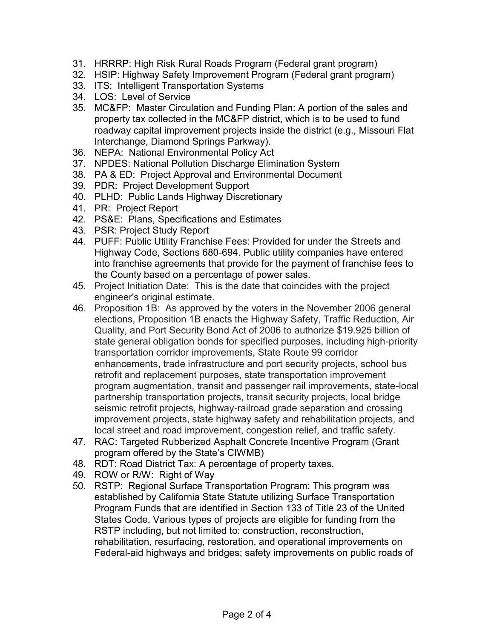- 31. HRRRP: High Risk Rural Roads Program (Federal grant program)
- 32. HSIP: Highway Safety Improvement Program (Federal grant program)
- 33. ITS: Intelligent Transportation Systems
- 34. LOS: Level of Service
- 35. MC&FP: Master Circulation and Funding Plan: A portion of the sales and property tax collected in the MC&FP district, which is to be used to fund roadway capital improvement projects inside the district (e.g., Missouri Flat Interchange, Diamond Springs Parkway).
- 36. NEPA: National Environmental Policy Act
- 37. NPDES: National Pollution Discharge Elimination System
- 38. PA & ED: Project Approval and Environmental Document
- 39. PDR: Project Development Support
- 40. PLHD: Public Lands Highway Discretionary
- 41. PR: Project Report
- 42. PS&E: Plans, Specifications and Estimates
- 43. PSR: Project Study Report
- 44. PUFF: Public Utility Franchise Fees: Provided for under the Streets and Highway Code, Sections 680-694. Public utility companies have entered into franchise agreements that provide for the payment of franchise fees to the County based on a percentage of power sales.
- 45. Project Initiation Date: This is the date that coincides with the project engineer's original estimate.
- 46. Proposition 1B: As approved by the voters in the November 2006 general elections, Proposition 1B enacts the Highway Safety, Traffic Reduction, Air Quality, and Port Security Bond Act of 2006 to authorize \$19.925 billion of state general obligation bonds for specified purposes, including high-priority transportation corridor improvements, State Route 99 corridor enhancements, trade infrastructure and port security projects, school bus retrofit and replacement purposes, state transportation improvement program augmentation, transit and passenger rail improvements, state-local partnership transportation projects, transit security projects, local bridge seismic retrofit projects, highway-railroad grade separation and crossing improvement projects, state highway safety and rehabilitation projects, and local street and road improvement, congestion relief, and traffic safety.
- 47. RAC: Targeted Rubberized Asphalt Concrete Incentive Program (Grant program offered by the State's CIWMB)
- 48. RDT: Road District Tax: A percentage of property taxes.
- 49. ROW or R/W: Right of Way
- 50. RSTP: Regional Surface Transportation Program: This program was established by California State Statute utilizing Surface Transportation Program Funds that are identified in Section 133 of Title 23 of the United States Code. Various types of projects are eligible for funding from the RSTP including, but not limited to: construction, reconstruction, rehabilitation, resurfacing, restoration, and operational improvements on Federal-aid highways and bridges; safety improvements on public roads of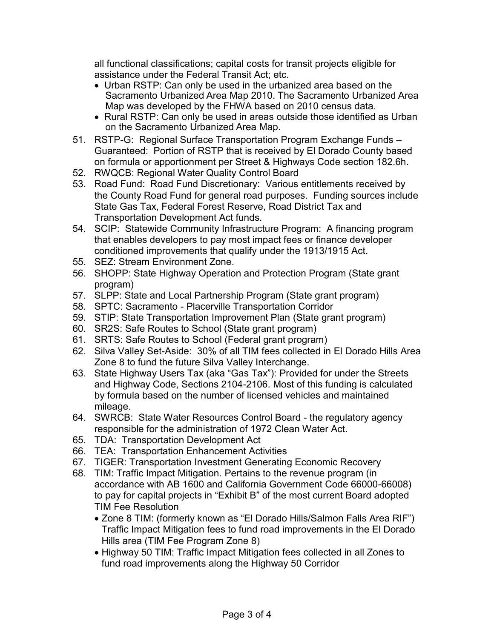all functional classifications; capital costs for transit projects eligible for assistance under the Federal Transit Act; etc.

- Urban RSTP: Can only be used in the urbanized area based on the Sacramento Urbanized Area Map 2010. The Sacramento Urbanized Area Map was developed by the FHWA based on 2010 census data.
- Rural RSTP: Can only be used in areas outside those identified as Urban on the Sacramento Urbanized Area Map.
- 51. RSTP-G: Regional Surface Transportation Program Exchange Funds Guaranteed: Portion of RSTP that is received by El Dorado County based on formula or apportionment per Street & Highways Code section 182.6h.
- 52. RWQCB: Regional Water Quality Control Board
- 53. Road Fund: Road Fund Discretionary: Various entitlements received by the County Road Fund for general road purposes. Funding sources include State Gas Tax, Federal Forest Reserve, Road District Tax and Transportation Development Act funds.
- 54. SCIP: Statewide Community Infrastructure Program: A financing program that enables developers to pay most impact fees or finance developer conditioned improvements that qualify under the 1913/1915 Act.
- 55. SEZ: Stream Environment Zone.
- 56. SHOPP: State Highway Operation and Protection Program (State grant program)
- 57. SLPP: State and Local Partnership Program (State grant program)
- 58. SPTC: Sacramento Placerville Transportation Corridor
- 59. STIP: State Transportation Improvement Plan (State grant program)
- 60. SR2S: Safe Routes to School (State grant program)
- 61. SRTS: Safe Routes to School (Federal grant program)
- 62. Silva Valley Set-Aside: 30% of all TIM fees collected in El Dorado Hills Area Zone 8 to fund the future Silva Valley Interchange.
- 63. State Highway Users Tax (aka "Gas Tax"): Provided for under the Streets and Highway Code, Sections 2104-2106. Most of this funding is calculated by formula based on the number of licensed vehicles and maintained mileage.
- 64. SWRCB: State Water Resources Control Board the regulatory agency responsible for the administration of 1972 Clean Water Act.
- 65. TDA: Transportation Development Act
- 66. TEA: Transportation Enhancement Activities
- 67. TIGER: Transportation Investment Generating Economic Recovery
- 68. TIM: Traffic Impact Mitigation. Pertains to the revenue program (in accordance with AB 1600 and California Government Code 66000-66008) to pay for capital projects in "Exhibit B" of the most current Board adopted TIM Fee Resolution
	- Zone 8 TIM: (formerly known as "El Dorado Hills/Salmon Falls Area RIF") Traffic Impact Mitigation fees to fund road improvements in the El Dorado Hills area (TIM Fee Program Zone 8)
	- Highway 50 TIM: Traffic Impact Mitigation fees collected in all Zones to fund road improvements along the Highway 50 Corridor